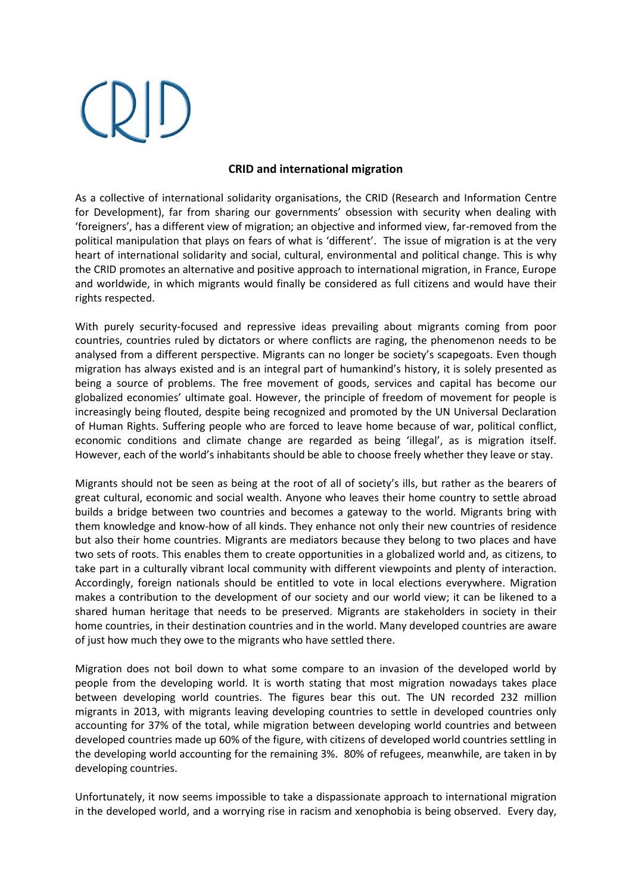## **CRID and international migration**

As a collective of international solidarity organisations, the CRID (Research and Information Centre for Development), far from sharing our governments' obsession with security when dealing with 'foreigners', has a different view of migration; an objective and informed view, far-removed from the political manipulation that plays on fears of what is 'different'. The issue of migration is at the very heart of international solidarity and social, cultural, environmental and political change. This is why the CRID promotes an alternative and positive approach to international migration, in France, Europe and worldwide, in which migrants would finally be considered as full citizens and would have their rights respected.

With purely security-focused and repressive ideas prevailing about migrants coming from poor countries, countries ruled by dictators or where conflicts are raging, the phenomenon needs to be analysed from a different perspective. Migrants can no longer be society's scapegoats. Even though migration has always existed and is an integral part of humankind's history, it is solely presented as being a source of problems. The free movement of goods, services and capital has become our globalized economies' ultimate goal. However, the principle of freedom of movement for people is increasingly being flouted, despite being recognized and promoted by the UN Universal Declaration of Human Rights. Suffering people who are forced to leave home because of war, political conflict, economic conditions and climate change are regarded as being 'illegal', as is migration itself. However, each of the world's inhabitants should be able to choose freely whether they leave or stay.

Migrants should not be seen as being at the root of all of society's ills, but rather as the bearers of great cultural, economic and social wealth. Anyone who leaves their home country to settle abroad builds a bridge between two countries and becomes a gateway to the world. Migrants bring with them knowledge and know-how of all kinds. They enhance not only their new countries of residence but also their home countries. Migrants are mediators because they belong to two places and have two sets of roots. This enables them to create opportunities in a globalized world and, as citizens, to take part in a culturally vibrant local community with different viewpoints and plenty of interaction. Accordingly, foreign nationals should be entitled to vote in local elections everywhere. Migration makes a contribution to the development of our society and our world view; it can be likened to a shared human heritage that needs to be preserved. Migrants are stakeholders in society in their home countries, in their destination countries and in the world. Many developed countries are aware of just how much they owe to the migrants who have settled there.

Migration does not boil down to what some compare to an invasion of the developed world by people from the developing world. It is worth stating that most migration nowadays takes place between developing world countries. The figures bear this out. The UN recorded 232 million migrants in 2013, with migrants leaving developing countries to settle in developed countries only accounting for 37% of the total, while migration between developing world countries and between developed countries made up 60% of the figure, with citizens of developed world countries settling in the developing world accounting for the remaining 3%. 80% of refugees, meanwhile, are taken in by developing countries.

Unfortunately, it now seems impossible to take a dispassionate approach to international migration in the developed world, and a worrying rise in racism and xenophobia is being observed. Every day,